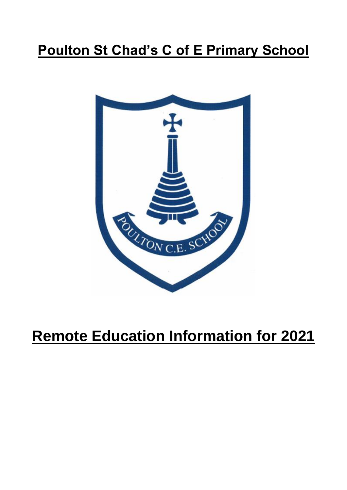# **Poulton St Chad's C of E Primary School**



# **Remote Education Information for 2021**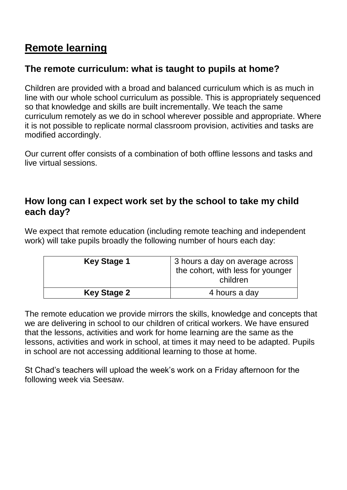## **Remote learning**

### **The remote curriculum: what is taught to pupils at home?**

Children are provided with a broad and balanced curriculum which is as much in line with our whole school curriculum as possible. This is appropriately sequenced so that knowledge and skills are built incrementally. We teach the same curriculum remotely as we do in school wherever possible and appropriate. Where it is not possible to replicate normal classroom provision, activities and tasks are modified accordingly.

Our current offer consists of a combination of both offline lessons and tasks and live virtual sessions.

#### **How long can I expect work set by the school to take my child each day?**

We expect that remote education (including remote teaching and independent work) will take pupils broadly the following number of hours each day:

| <b>Key Stage 1</b> | 3 hours a day on average across<br>the cohort, with less for younger<br>children |
|--------------------|----------------------------------------------------------------------------------|
| <b>Key Stage 2</b> | 4 hours a day                                                                    |

The remote education we provide mirrors the skills, knowledge and concepts that we are delivering in school to our children of critical workers. We have ensured that the lessons, activities and work for home learning are the same as the lessons, activities and work in school, at times it may need to be adapted. Pupils in school are not accessing additional learning to those at home.

St Chad's teachers will upload the week's work on a Friday afternoon for the following week via Seesaw.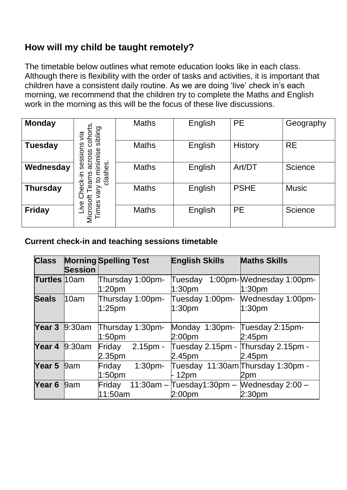### **How will my child be taught remotely?**

The timetable below outlines what remote education looks like in each class. Although there is flexibility with the order of tasks and activities, it is important that children have a consistent daily routine. As we are doing 'live' check in's each morning, we recommend that the children try to complete the Maths and English work in the morning as this will be the focus of these live discussions.

| <b>Monday</b>   | sibling<br>cohor<br>jā                   | <b>Maths</b> | English | <b>PE</b>   | Geography    |
|-----------------|------------------------------------------|--------------|---------|-------------|--------------|
| <b>Tuesday</b>  | ღ<br>inimise<br>sessio<br>across         | <b>Maths</b> | English | History     | <b>RE</b>    |
| Wednesday       | clashes<br>ഗ<br>eck-in<br>$\overline{c}$ | <b>Maths</b> | English | Art/DT      | Science      |
| <b>Thursday</b> | థె<br>Vary<br>Microsoft<br>Times<br>Jive | <b>Maths</b> | English | <b>PSHE</b> | <b>Music</b> |
| <b>Friday</b>   |                                          | <b>Maths</b> | English | <b>PE</b>   | Science      |

#### **Current check-in and teaching sessions timetable**

| <b>Class</b>        | <b>Session</b>       | <b>Morning Spelling Test</b>           |                    | <b>English Skills</b>                |                 | <b>Maths Skills</b>                                      |
|---------------------|----------------------|----------------------------------------|--------------------|--------------------------------------|-----------------|----------------------------------------------------------|
| <b>Turtles</b> 10am |                      | Thursday 1:00pm-<br>1:20 <sub>pm</sub> |                    | Tuesday<br>1:30 <sub>pm</sub>        |                 | 1:00pm-Mednesday 1:00pm-<br>1:30 <sub>pm</sub>           |
| <b>Seals</b>        | 10am                 | Thursday 1:00pm-<br>$1:25$ pm          |                    | 1:30 <sub>pm</sub>                   | Tuesday 1:00pm- | <b>Wednesday 1:00pm-</b><br>1:30 <sub>pm</sub>           |
|                     | <b>Year 3</b> 9:30am | Thursday 1:30pm-<br>1:50 <sub>pm</sub> |                    | Monday 1:30pm-<br>2:00 <sub>pm</sub> |                 | Tuesday 2:15pm-<br>2:45 <sub>pm</sub>                    |
| Year 4              | 9:30am               | Friday<br>2.35pm                       | $2.15pm -$         | 2.45pm                               |                 | Tuesday 2.15pm - Thursday 2.15pm -<br>2.45 <sub>pm</sub> |
| Year <sub>5</sub>   | 9am                  | Friday<br>1:50 <sub>pm</sub>           | 1:30 <sub>pm</sub> | - 12pm                               |                 | Tuesday 11:30am Thursday 1:30pm -<br>2pm                 |
| Year <sub>6</sub>   | 9am                  | Friday<br>11:50am                      |                    | 2:00 <sub>pm</sub>                   |                 | 11:30am - Tuesday1:30pm - Mednesday 2:00 -<br>2:30pm     |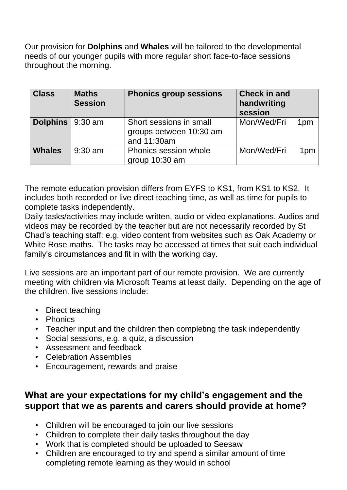Our provision for **Dolphins** and **Whales** will be tailored to the developmental needs of our younger pupils with more regular short face-to-face sessions throughout the morning.

| <b>Class</b>            | <b>Maths</b><br><b>Session</b> | <b>Phonics group sessions</b>                                     | <b>Check in and</b><br>handwriting<br>session |                 |
|-------------------------|--------------------------------|-------------------------------------------------------------------|-----------------------------------------------|-----------------|
| <b>Dolphins</b> 9:30 am |                                | Short sessions in small<br>groups between 10:30 am<br>and 11:30am | Mon/Wed/Fri                                   | 1 <sub>pm</sub> |
| <b>Whales</b>           | $9:30$ am                      | Phonics session whole<br>group 10:30 am                           | Mon/Wed/Fri                                   | 1pm             |

The remote education provision differs from EYFS to KS1, from KS1 to KS2. It includes both recorded or live direct teaching time, as well as time for pupils to complete tasks independently.

Daily tasks/activities may include written, audio or video explanations. Audios and videos may be recorded by the teacher but are not necessarily recorded by St Chad's teaching staff: e.g. video content from websites such as Oak Academy or White Rose maths. The tasks may be accessed at times that suit each individual family's circumstances and fit in with the working day.

Live sessions are an important part of our remote provision. We are currently meeting with children via Microsoft Teams at least daily. Depending on the age of the children, live sessions include:

- Direct teaching
- Phonics
- Teacher input and the children then completing the task independently
- Social sessions, e.g. a quiz, a discussion
- Assessment and feedback
- Celebration Assemblies
- Encouragement, rewards and praise

#### **What are your expectations for my child's engagement and the support that we as parents and carers should provide at home?**

- Children will be encouraged to join our live sessions
- Children to complete their daily tasks throughout the day
- Work that is completed should be uploaded to Seesaw
- Children are encouraged to try and spend a similar amount of time completing remote learning as they would in school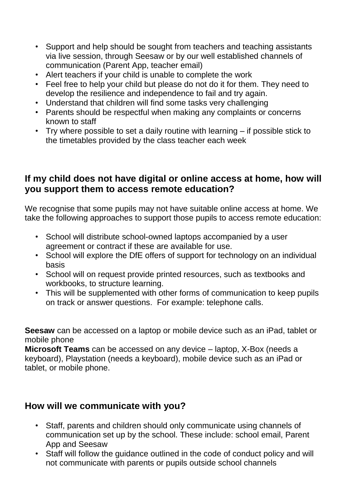- Support and help should be sought from teachers and teaching assistants via live session, through Seesaw or by our well established channels of communication (Parent App, teacher email)
- Alert teachers if your child is unable to complete the work
- Feel free to help your child but please do not do it for them. They need to develop the resilience and independence to fail and try again.
- Understand that children will find some tasks very challenging
- Parents should be respectful when making any complaints or concerns known to staff
- Try where possible to set a daily routine with learning if possible stick to the timetables provided by the class teacher each week

#### **If my child does not have digital or online access at home, how will you support them to access remote education?**

We recognise that some pupils may not have suitable online access at home. We take the following approaches to support those pupils to access remote education:

- School will distribute school-owned laptops accompanied by a user agreement or contract if these are available for use.
- School will explore the DfE offers of support for technology on an individual basis
- School will on request provide printed resources, such as textbooks and workbooks, to structure learning.
- This will be supplemented with other forms of communication to keep pupils on track or answer questions. For example: telephone calls.

**Seesaw** can be accessed on a laptop or mobile device such as an iPad, tablet or mobile phone

**Microsoft Teams** can be accessed on any device – laptop, X-Box (needs a keyboard), Playstation (needs a keyboard), mobile device such as an iPad or tablet, or mobile phone.

#### **How will we communicate with you?**

- Staff, parents and children should only communicate using channels of communication set up by the school. These include: school email, Parent App and Seesaw
- Staff will follow the guidance outlined in the code of conduct policy and will not communicate with parents or pupils outside school channels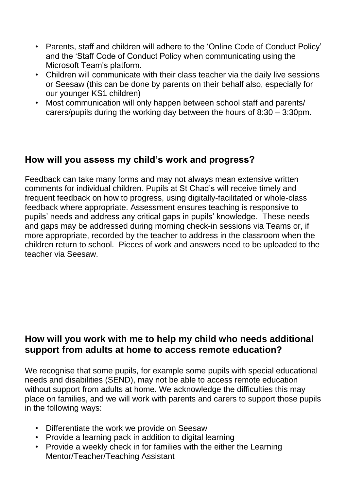- Parents, staff and children will adhere to the 'Online Code of Conduct Policy' and the 'Staff Code of Conduct Policy when communicating using the Microsoft Team's platform.
- Children will communicate with their class teacher via the daily live sessions or Seesaw (this can be done by parents on their behalf also, especially for our younger KS1 children)
- Most communication will only happen between school staff and parents/ carers/pupils during the working day between the hours of 8:30 – 3:30pm.

#### **How will you assess my child's work and progress?**

Feedback can take many forms and may not always mean extensive written comments for individual children. Pupils at St Chad's will receive timely and frequent feedback on how to progress, using digitally-facilitated or whole-class feedback where appropriate. Assessment ensures teaching is responsive to pupils' needs and address any critical gaps in pupils' knowledge. These needs and gaps may be addressed during morning check-in sessions via Teams or, if more appropriate, recorded by the teacher to address in the classroom when the children return to school. Pieces of work and answers need to be uploaded to the teacher via Seesaw.

#### **How will you work with me to help my child who needs additional support from adults at home to access remote education?**

We recognise that some pupils, for example some pupils with special educational needs and disabilities (SEND), may not be able to access remote education without support from adults at home. We acknowledge the difficulties this may place on families, and we will work with parents and carers to support those pupils in the following ways:

- Differentiate the work we provide on Seesaw
- Provide a learning pack in addition to digital learning
- Provide a weekly check in for families with the either the Learning Mentor/Teacher/Teaching Assistant